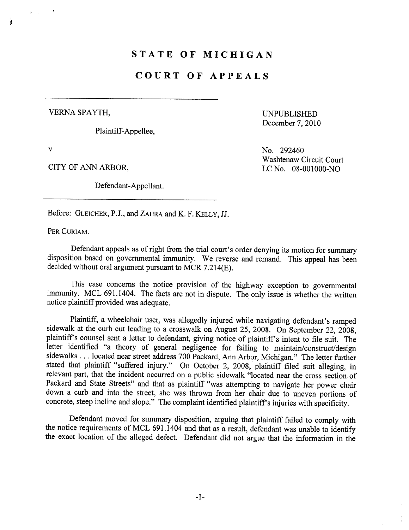## STATE OF MICHIGAN

## COURT OF APPEALS

VERNA SPAYTH, UNPUBLISHED

Plaintiff- Appellee,

December 7, 2010

.,

~

Defendant-Appellant.

v No. 292460 Washtenaw Circuit Court CITY OF ANN ARBOR, LC No. 08-001000-NO

Before: GLEICHER, P.J., and ZAHRA and K. F. KELLY, JJ.

PER CURIAM.

Defendant appeals as of right from the trial court's order denying its motion for summary disposition based on governental immunity. We reverse and remand. This appeal has been decided without oral argument pursuant to MCR 7.214(E).

This case concerns the notice provision of the highway exception to governmental immunity. MCL 691.1404. The facts are not in dispute. The only issue is whether the written notice plaintiff provided was adequate.

Plaintiff, a wheelchair user, was allegedly injured while navigating defendant's ramped sidewalk at the curb cut leading to a crosswalk on August 25, 2008. On September 22, 2008, plaintiff's counsel sent a letter to defendant, giving notice of plaintiff's intent to file suit. The letter identified "a theory of general negligence for failng to maintain/construct/design sidewalks . . . located near street address 700 Packard, Ann Arbor, Michigan." The letter further stated that plaintiff "suffered injury." On October 2, 2008, plaintiff fied suit alleging, in relevant part, that the incident occurred on a public sidewalk "located near the cross section of Packard and State Streets" and that as plaintiff "was attempting to navigate her power chair down a curb and into the street, she was thrown from her chair due to uneven portions of concrete, steep incline and slope." The complaint identified plaintiff's injuries with specificity.

Defendant moved for summary disposition, arguing that plaintiff failed to comply with the notice requirements of MCL 691.1404 and that as a result, defendant was unable to identify the exact location of the alleged defect. Defendant did not argue that the information in the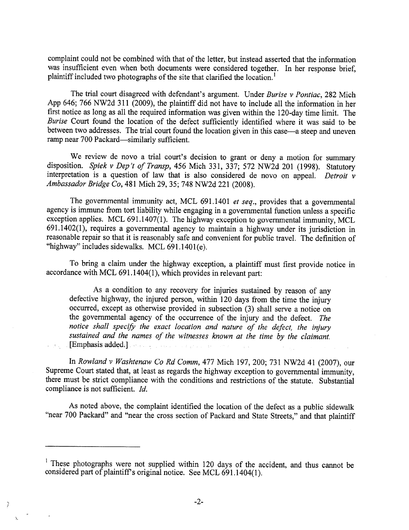complaint could not be combined with that of the letter, but instead asserted that the information was insufficient even when both documents were considered together. In her response brief, plaintiff included two photographs of the site that clarified the location.<sup>1</sup>

The trial court disagreed with defendant's argument. Under Burise v Pontiac, 282 Mich App 646; 766 NW2d 311 (2009), the plaintiff did not have to include all the information in her first notice as long as all the required information was given within the 120-day time limit. The Burise Court found the location of the defect sufficiently identified where it was said to be between two addresses. The trial court found the location given in this case—a steep and uneven ramp near 700 Packard-similarly sufficient.

We review de novo a trial court's decision to grant or deny a motion for summary disposition. Spiek v Dep't of Transp, 456 Mich 331, 337; 572 NW2d 201 (1998). Statutory interpretation is a question of law that is also considered de novo on appeal. Detroit  $\nu$ Ambassador Bridge Co, 481 Mich 29,35; 748 NW2d 221 (2008).

The governmental immunity act, MCL 691.1401 et seq., provides that a governmental agency is immune from tort liability while engaging in a governmental function unless a specific exception applies. MCL 691.1407(1). The highway exception to governmental immunity, MCL 691.1402(1), requires a governental agency to maintain a highway under its jurisdiction in reasonable repair so that it is reasonably safe and convenient for public travel. The definition of "highway" includes sidewalks. MCL 691.1401(e).

To bring a claim under the highway exception, a plaintiff must first provide notice in accordance with MCL 691.1404(1), which provides in relevant part:

As a condition to any recovery for injuries sustained by reason of any defective highway, the injured person, within 120 days from the time the injury occured, except as otherwise provided in subsection (3) shall serve a notice on the governmental agency of the occurrence of the injury and the defect. The notice shall specify the exact location and nature of the defect, the injury sustained and the names of the witnesses known at the time by the claimant. (Emphasis added, J

In Rowland v Washtenaw Co Rd Comm, 477 Mich 197,200; 731 NW2d 41 (2007), our Supreme Court stated that, at least as regards the highway exception to governmental immunity, there must be strict compliance with the conditions and restrictions of the statute. Substantial compliance is not sufficient.  $Id$ .

As noted above, the complaint identified the location of the defect as a public sidewalk "near 700 Packard" and "near the cross section of Packard and State Streets," and that plaintiff

'"

 $\frac{1}{2}$ 

<sup>&</sup>lt;sup>1</sup> These photographs were not supplied within 120 days of the accident, and thus cannot be considered part of plaintiffs original notice. See MCL 691.1404(1).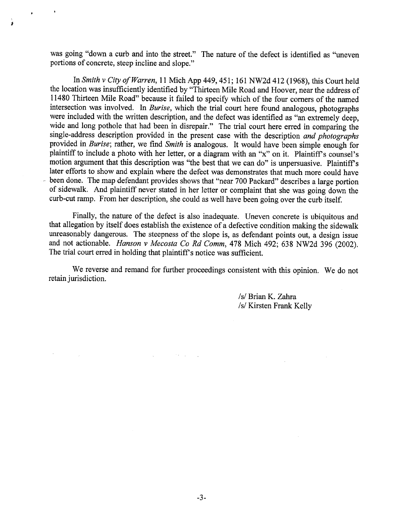was going "down a curb and into the street." The nature of the defect is identified as "uneven portions of concrete, steep incline and slope."

;<br>\$

In Smith v City of Warren, 11 Mich App 449, 451; 161 NW2d 412 (1968), this Court held the location was insufficiently identified by "Thirteen Mile Road and Hoover, near the address of 11480 Thirteen Mile Road" because it failed to specify which of the four corners of the named intersection was involved. In Burise, which the trial court here found analogous, photographs were included with the written description, and the defect was identified as "an extremely deep, wide and long pothole that had been in disrepair." The trial court here erred in comparing the single-address description provided in the present case with the description and photographs provided in Burise; rather, we find Smith is analogous. It would have been simple enough for plaintiff to include a photo with her letter, or a diagram with an "x" on it. Plaintiff's counsel's motion argument that this description was "the best that we can do" is unpersuasive. Plaintiff's later efforts to show and explain where the defect was demonstrates that much more could have been done. The map defendant provides shows that "near 700 Packard" describes a large portion of sidewalk. And plaintiff never stated in her letter or complaint that she was going down the curb-cut ramp. From her description, she could as well have been going over the curb itself.

Finally, the nature of the defect is also inadequate. Uneven concrete is ubiquitous and that allegation by itself does establish the existence of a defective condition making the sidewalk unreasonably dangerous. The steepness of the slope is, as defendant points out, a design issue and not actionable. Hanson v Mecosta Co Rd Comm, 478 Mich 492; 638 NW2d 396 (2002). The trial court erred in holding that plaintiff's notice was sufficient.

We reverse and remand for further proceedings consistent with this opinion. We do not retain jurisdiction.

 $\mathcal{L}_{\mathrm{B}}$ 

**TACLA** 

/s/ Brian K. Zahra /s/ Kirsten Frank Kelly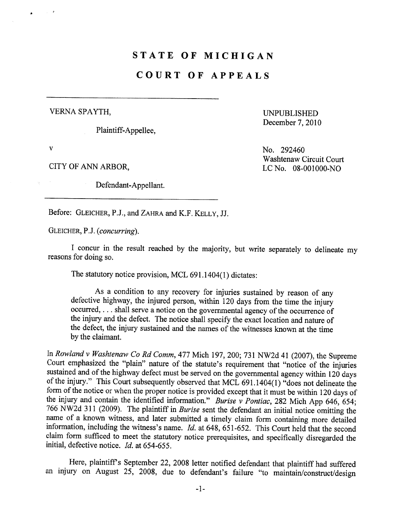### STATE OF MICHIGAN

### COURT OF APPEALS

VERNA SPA YTH, UNPUBLISHED

Plaintiff-Appellee,

December 7, 2010

Defendant-Appellant.

v No. 292460 Washtenaw Circuit Court CITY OF ANN ARBOR, LC No. 08-001000-NO

Before: GLEICHER, P.J., and ZAHRA and K.F. KELLY, JJ.

GLEICHER, P.J. (concurring).

I concur in the result reached by the majority, but write separately to delineate my reasons for doing so.

The statutory notice provision, MCL 691.1404(1) dictates:

As a condition to any recovery for injuries sustained by reason of any defective highway, the injured person, within 120 days from the time the injur occurred, . . . shall serve a notice on the governmental agency of the occurrence of the injury and the defect. The notice shall specify the exact location and nature of the defect, the injury sustained and the names of the witnesses known at the time by the claimant.

In Rowland v Washtenaw Co Rd Comm, 477 Mich 197, 200; 731 NW2d 41 (2007), the Supreme Court emphasized the "plain" natue of the statute's requirement that "notice of the injuries sustained and of the highway defect must be served on the governental agency within 120 days of the injury." This Court subsequently observed that MCL 691.1404(1) "does not delineate the form of the notice or when the proper notice is provided except that it must be within 120 days of the injury and contain the identified information." Burise v Pontiac, 282 Mich App 646, 654; 766 NW2d 311 (2009). The plaintiff in Burise sent the defendant an initial notice omitting the name of a known witness, and later submitted a timely claim form containing more detailed information, including the witness's name.  $Id$ . at 648, 651-652. This Court held that the second claim form sufficed to meet the statutory notice prerequisites, and specifically disregarded the initial, defective notice.  $Id$ . at 654-655.

Here, plaintiff's September 22, 2008 letter notified defendant that plaintiff had suffered an injury on August 25, 2008, due to defendant's failure "to maintain/construct/design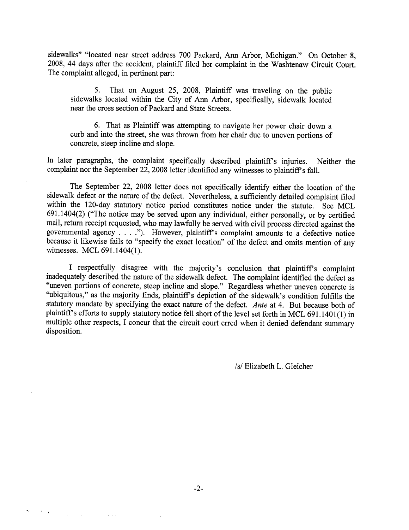sidewalks" "located near street address 700 Packard, Ann Arbor, Michigan." On October 8, 2008, 44 days after the accident, plaintiff fied her complaint in the Washtenaw Circuit Cour. The complaint alleged, in pertinent par:

5. That on August 25, 2008, Plaintiff was traveling on the public sidewalks located within the City of Ann Arbor, specifically, sidewalk located near the cross section of Packard and State Streets.

6. That as Plaintiff was attempting to navigate her power chair down a curb and into the street, she was thrown from her chair due to uneven portions of concrete, steep incline and slope.

In later paragraphs, the complaint specifically described plaintiff's injuries. Neither the complaint nor the September 22, 2008 letter identified any witnesses to plaintiff's fall.

The September 22, 2008 letter does not specifically identify either the location of the sidewalk defect or the natue of the defect. Nevertheless, a sufficiently detailed complaint fied within the 120-day statutory notice period constitutes notice under the statute. See MCL 691.1404(2) ("The notice may be served upon any individual, either personally, or by certified mail, return receipt requested, who may lawfully be served with civil process directed against the governmental agency. . . ."). However, plaintiff's complaint amounts to a defective notice because it likewise fails to "specify the exact location" of the defect and omits mention of any witnesses. MCL 691.1404(1).

I respectfully disagree with the majority's conclusion that plaintiffs complaint inadequately described the nature of the sidewalk defect. The complaint identified the defect as "uneven portions of concrete, steep incline and slope." Regardless whether uneven concrete is "ubiquitous," as the majority finds, plaintiff's depiction of the sidewalk's condition fulfills the statutory mandate by specifying the exact nature of the defect. Ante at 4. But because both of plaintiff's efforts to supply statutory notice fell short of the level set forth in MCL 691.1401(1) in multiple other respects, I concur that the circuit court erred when it denied defendant summary disposition.

/s/ Elizabeth L. Gleicher

 $\mathbf{x} \in \mathbb{R}^{d \times d}$  ,  $\mathbb{R}^{d \times d}$ 

 $\sim$   $\sim$